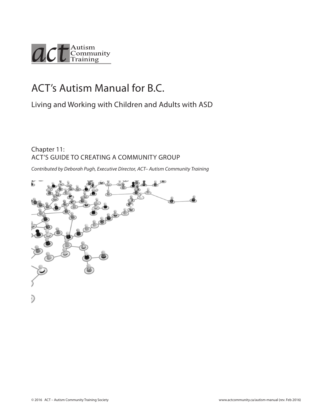

# ACT's Autism Manual for B.C.

Living and Working with Children and Adults with ASD

### Chapter 11: ACT'S GUIDE TO CREATING A COMMUNITY GROUP

*Contributed by Deborah Pugh, Executive Director, ACT– Autism Community Training*

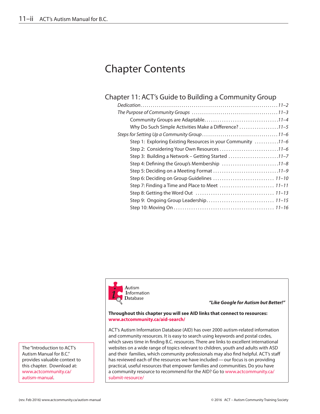# Chapter Contents

### Chapter 11: [ACT's Guide to Building a Community Group](#page-2-0)

| Why Do Such Simple Activities Make a Difference? 11-5       |  |
|-------------------------------------------------------------|--|
|                                                             |  |
| Step 1: Exploring Existing Resources in your Community 11-6 |  |
|                                                             |  |
| Step 3: Building a Network - Getting Started 11-7           |  |
|                                                             |  |
|                                                             |  |
|                                                             |  |
|                                                             |  |
|                                                             |  |
|                                                             |  |
|                                                             |  |



*"Like Google for Autism but Better!"*

#### **Throughout this chapter you will see AID links that connect to resources: www.actcommunity.ca/aid-search/**

ACT's Autism Information Database (AID) has over 2000 autism-related information and community resources. It is easy to search using keywords and postal codes, which saves time in finding B.C. resources. There are links to excellent international websites on a wide range of topics relevant to children, youth and adults with ASD and their families, which community professionals may also find helpful. ACT's staff has reviewed each of the resources we have included—our focus is on providing practical, useful resources that empower families and communities. Do you have a community resource to recommend for the AID? Go to www.actcommunity.ca/ submit-resource/

The "Introduction to ACT's Autism Manual for B.C." provides valuable context to this chapter. Download at: [www.actcommunity.ca/](http://www.actcommunity.ca/autism-manual) [autism-manual.](http://www.actcommunity.ca/autism-manual)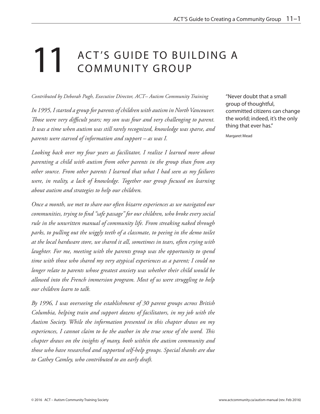# <span id="page-2-0"></span>11 ACT'S GUIDE TO BUILDING A COMMUNITY GROUP

*Contributed by Deborah Pugh, Executive Director, ACT– Autism Community Training*

*In 1995, I started a group for parents of children with autism in North Vancouver. Those were very difficult years; my son was four and very challenging to parent. It was a time when autism was still rarely recognized, knowledge was sparse, and parents were starved of information and support – as was I.* 

*Looking back over my four years as facilitator, I realize I learned more about parenting a child with autism from other parents in the group than from any other source. From other parents I learned that what I had seen as my failures were, in reality, a lack of knowledge. Together our group focused on learning about autism and strategies to help our children.* 

*Once a month, we met to share our often bizarre experiences as we navigated our communities, trying to find "safe passage" for our children, who broke every social rule in the unwritten manual of community life. From streaking naked through*  parks, to pulling out the wiggly teeth of a classmate, to peeing in the demo toilet *at the local hardware store, we shared it all, sometimes in tears, often crying with laughter. For me, meeting with the parents group was the opportunity to spend time with those who shared my very atypical experiences as a parent; I could no longer relate to parents whose greatest anxiety was whether their child would be allowed into the French immersion program. Most of us were struggling to help our children learn to talk.*

*By 1996, I was overseeing the establishment of 30 parent groups across British Columbia, helping train and support dozens of facilitators, in my job with the Autism Society. While the information presented in this chapter draws on my experiences, I cannot claim to be the author in the true sense of the word. This chapter draws on the insights of many, both within the autism community and those who have researched and supported self-help groups. Special thanks are due to Cathey Camley, who contributed to an early draft.*

"Never doubt that a small group of thoughtful, committed citizens can change the world; indeed, it's the only thing that ever has."

Margaret Mead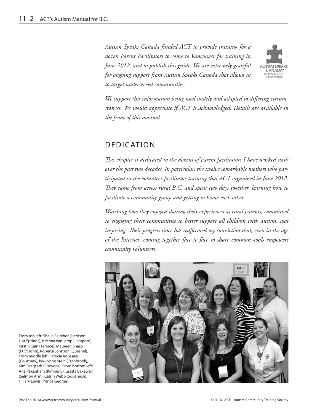<span id="page-3-0"></span>*Autism Speaks Canada funded ACT to provide training for a dozen Parent Facilitators to come to Vancouver for training in June 2012, and to publish this guide. We are extremely grateful for ongoing support from Autism Speaks Canada that allows us to target underserved communities.*



*We support this information being used widely and adapted to differing circumstances. We would appreciate if ACT is acknowledged. Details are available in the front of this manual.*

# DEDICATION

*This chapter is dedicated to the dozens of parent facilitators I have worked with over the past two decades. In particular, the twelve remarkable mothers who participated in the volunteer facilitator training that ACT organized in June 2012. They came from across rural B.C. and spent two days together, learning how to facilitate a community group and getting to know each other.* 

*Watching how they enjoyed sharing their experiences as rural parents, committed to engaging their communities to better support all children with autism, was inspiring. Their progress since has reaffirmed my conviction that, even in the age of the Internet, coming together face-to-face to share common goals empowers community volunteers.*



From top left: Sheila Seitcher (Harrison Hot Springs), Kristina Vanlierop (Langford), Kirstin Cain (Terrace), Maureen Sharp (Ft St John), Roberta Johnson (Quesnel). From middle left: Patricia Rousseau (Courtney), Ivy-Lynne Stein (Cranbrook), Kim Dragseth (Osoyoos). From bottom left: Ana Pakenham (Kimberly), Gretta Bakewell (Salmon Arm), Catrin Webb (Squamish), Hillary Lewis (Prince George)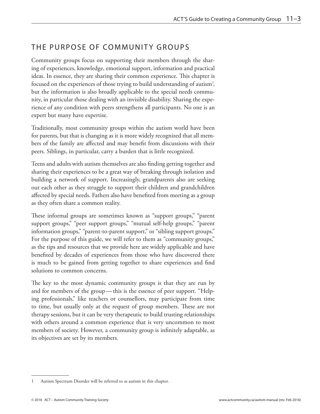## <span id="page-4-0"></span>THE PURPOSE OF COMMUNITY GROUPS

Community groups focus on supporting their members through the sharing of experiences, knowledge, emotional support, information and practical ideas. In essence, they are sharing their common experience. This chapter is focused on the experiences of those trying to build understanding of autism<sup>1</sup>, but the information is also broadly applicable to the special needs community, in particular those dealing with an invisible disability. Sharing the experience of any condition with peers strengthens all participants. No one is an expert but many have expertise.

Traditionally, most community groups within the autism world have been for parents, but that is changing as it is more widely recognized that all members of the family are affected and may benefit from discussions with their peers. Siblings, in particular, carry a burden that is little recognized.

Teens and adults with autism themselves are also finding getting together and sharing their experiences to be a great way of breaking through isolation and building a network of support. Increasingly, grandparents also are seeking out each other as they struggle to support their children and grandchildren affected by special needs. Fathers also have benefited from meeting as a group as they often share a common reality.

These informal groups are sometimes known as "support groups," "parent support groups," "peer support groups," "mutual self-help groups," "parent information groups," "parent-to-parent support," or "sibling support groups." For the purpose of this guide, we will refer to them as "community groups," as the tips and resources that we provide here are widely applicable and have benefited by decades of experiences from those who have discovered there is much to be gained from getting together to share experiences and find solutions to common concerns.

The key to the most dynamic community groups is that they are run by and for members of the group—this is the essence of peer support. "Helping professionals," like teachers or counsellors, may participate from time to time, but usually only at the request of group members. These are not therapy sessions, but it can be very therapeutic to build trusting relationships with others around a common experience that is very uncommon to most members of society. However, a community group is infinitely adaptable, as its objectives are set by its members.

<sup>1</sup> Autism Spectrum Disorder will be referred to as autism in this chapter.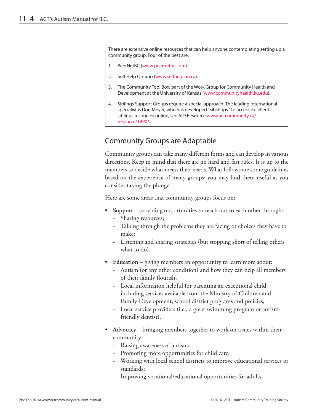<span id="page-5-0"></span>There are extensive online resources that can help anyone contemplating setting up a community group. Four of the best are:

- 1. PeerNetBC [\(www.peernetbc.com](www.peernetbc.com)).
- 2. Self Help Ontario [\(www.selfhelp.on.ca](www.selfhelp.on.ca)).
- 3. The Community Tool Box, part of the Work Group for Community Health and Development at the University of Kansas [\(www.communityhealth.ku.edu\)](www.communityhealth.ku.edu).
- 4. Siblings Support Groups require a special approach. The leading international specialist is Don Meyer, who has developed "Sibshops." To access excellent siblings resources online, see AID Resource [www.actcommunity.ca/](http://www.actcommunity.ca/resource/1890/) [resource/1890/](http://www.actcommunity.ca/resource/1890/).

### Community Groups are Adaptable

Community groups can take many different forms and can develop in various directions. Keep in mind that there are no hard and fast rules. It is up to the members to decide what meets their needs. What follows are some guidelines based on the experience of many groups; you may find them useful as you consider taking the plunge!

Here are some areas that community groups focus on:

- **• Support** providing opportunities to reach out to each other through:
	- Sharing resources;
	- Talking through the problems they are facing or choices they have to make;
	- Listening and sharing strategies (but stopping short of telling others what to do).
- **• Education** giving members an opportunity to learn more about:
	- Autism (or any other condition) and how they can help all members of their family flourish;
	- Local information helpful for parenting an exceptional child, including services available from the Ministry of Children and Family Development, school district programs and policies;
	- Local service providers (i.e., a great swimming program or autismfriendly dentist).
- **• Advocacy** bringing members together to work on issues within their community:
	- Raising awareness of autism;
	- Promoting more opportunities for child care;
	- Working with local school districts to improve educational services or standards;
	- Improving vocational/educational opportunities for adults.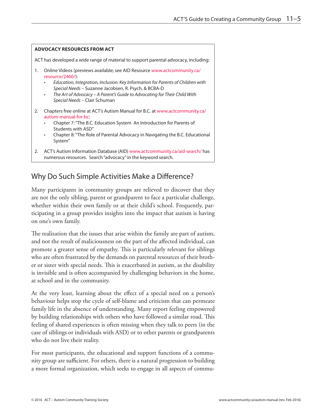<span id="page-6-0"></span>

# Why Do Such Simple Activities Make a Difference?

Many participants in community groups are relieved to discover that they are not the only sibling, parent or grandparent to face a particular challenge, whether within their own family or at their child's school. Frequently, participating in a group provides insights into the impact that autism is having on one's own family.

The realization that the issues that arise within the family are part of autism, and not the result of maliciousness on the part of the affected individual, can promote a greater sense of empathy. This is particularly relevant for siblings who are often frustrated by the demands on parental resources of their brother or sister with special needs. This is exacerbated in autism, as the disability is invisible and is often accompanied by challenging behaviors in the home, at school and in the community.

At the very least, learning about the effect of a special need on a person's behaviour helps stop the cycle of self-blame and criticism that can permeate family life in the absence of understanding. Many report feeling empowered by building relationships with others who have followed a similar road. This feeling of shared experiences is often missing when they talk to peers (in the case of siblings or individuals with ASD) or to other parents or grandparents who do not live their reality.

For most participants, the educational and support functions of a community group are sufficient. For others, there is a natural progression to building a more formal organization, which seeks to engage in all aspects of commu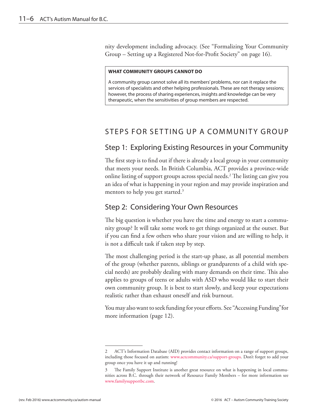<span id="page-7-0"></span>nity development including advocacy. (See "[Formalizing Your Community](#page-17-1)  [Group – Setting up a Registered Not-for-Profit Society" on page 1](#page-17-1)6).

#### **WHAT COMMUNITY GROUPS CANNOT DO**

A community group cannot solve all its members' problems, nor can it replace the services of specialists and other helping professionals. These are not therapy sessions; however, the process of sharing experiences, insights and knowledge can be very therapeutic, when the sensitivities of group members are respected.

## STEPS FOR SETTING UP A COMMUNITY GROUP

### Step 1: Exploring Existing Resources in your Community

The first step is to find out if there is already a local group in your community that meets your needs. In British Columbia, ACT provides a province-wide online listing of support groups across special needs.2 The listing can give you an idea of what is happening in your region and may provide inspiration and mentors to help you get started.<sup>3</sup>

### Step 2: Considering Your Own Resources

The big question is whether you have the time and energy to start a community group? It will take some work to get things organized at the outset. But if you can find a few others who share your vision and are willing to help, it is not a difficult task if taken step by step.

The most challenging period is the start-up phase, as all potential members of the group (whether parents, siblings or grandparents of a child with special needs) are probably dealing with many demands on their time. This also applies to groups of teens or adults with ASD who would like to start their own community group. It is best to start slowly, and keep your expectations realistic rather than exhaust oneself and risk burnout.

You may also want to seek funding for your efforts. See "Accessing [Funding"](#page-13-0)for more information (page 12).

<sup>2</sup> ACT's Information Database (AID) provides contact information on a range of support groups, including those focused on autism: <www.actcommunity.ca/support-groups>. Don't forget to add your group once you have it up and running!

<sup>3</sup> The Family Support Institute is another great resource on what is happening in local communities across B.C. through their network of Resource Family Members – for more information see <www.familysupportbc.com>.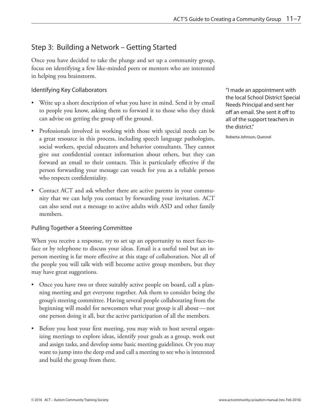### <span id="page-8-0"></span>Step 3: Building a Network – Getting Started

Once you have decided to take the plunge and set up a community group, focus on identifying a few like-minded peers or mentors who are interested in helping you brainstorm.

### Identifying Key Collaborators

- Write up a short description of what you have in mind. Send it by email to people you know, asking them to forward it to those who they think can advise on getting the group off the ground.
- Professionals involved in working with those with special needs can be a great resource in this process, including speech language pathologists, social workers, special educators and behavior consultants. They cannot give out confidential contact information about others, but they can forward an email to their contacts. This is particularly effective if the person forwarding your message can vouch for you as a reliable person who respects confidentiality.
- Contact ACT and ask whether there are active parents in your community that we can help you contact by forwarding your invitation. ACT can also send out a message to active adults with ASD and other family members.

### Pulling Together a Steering Committee

When you receive a response, try to set up an opportunity to meet face-toface or by telephone to discuss your ideas. Email is a useful tool but an inperson meeting is far more effective at this stage of collaboration. Not all of the people you will talk with will become active group members, but they may have great suggestions.

- Once you have two or three suitably active people on board, call a planning meeting and get everyone together. Ask them to consider being the group's steering committee. Having several people collaborating from the beginning will model for newcomers what your group is all about—not one person doing it all, but the active participation of all the members.
- Before you host your first meeting, you may wish to host several organizing meetings to explore ideas, identify your goals as a group, work out and assign tasks, and develop some basic meeting guidelines. Or you may want to jump into the deep end and call a meeting to see who is interested and build the group from there.

"I made an appointment with the local School District Special Needs Principal and sent her off an email. She sent it off to all of the support teachers in the district."

Roberta Johnson, Quesnel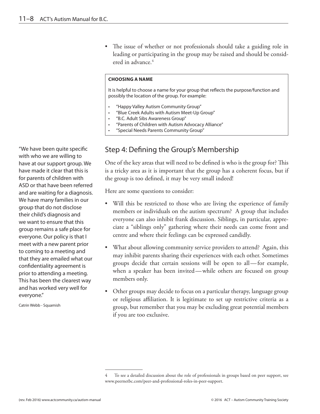<span id="page-9-0"></span>• The issue of whether or not professionals should take a guiding role in leading or participating in the group may be raised and should be considered in advance.4

#### **CHOOSING A NAME**

It is helpful to choose a name for your group that reflects the purpose/function and possibly the location of the group. For example:

- "Happy Valley Autism Community Group"
- "Blue Creek Adults with Autism Meet-Up Group"
- "B.C. Adult Sibs Awareness Group"
- "Parents of Children with Autism Advocacy Alliance"
- "Special Needs Parents Community Group"

# Step 4: Defining the Group's Membership

One of the key areas that will need to be defined is who is the group for? This is a tricky area as it is important that the group has a coherent focus, but if the group is too defined, it may be very small indeed!

Here are some questions to consider:

- Will this be restricted to those who are living the experience of family members or individuals on the autism spectrum? A group that includes everyone can also inhibit frank discussion. Siblings, in particular, appreciate a "siblings only" gathering where their needs can come front and centre and where their feelings can be expressed candidly.
- What about allowing community service providers to attend? Again, this may inhibit parents sharing their experiences with each other. Sometimes groups decide that certain sessions will be open to all—for example, when a speaker has been invited—while others are focused on group members only.
- Other groups may decide to focus on a particular therapy, language group or religious affiliation. It is legitimate to set up restrictive criteria as a group, but remember that you may be excluding great potential members if you are too exclusive.

"We have been quite specific with who we are willing to have at our support group. We have made it clear that this is for parents of children with ASD or that have been referred and are waiting for a diagnosis. We have many families in our group that do not disclose their child's diagnosis and we want to ensure that this group remains a safe place for everyone. Our policy is that I meet with a new parent prior to coming to a meeting and that they are emailed what our confidentiality agreement is prior to attending a meeting. This has been the clearest way and has worked very well for everyone."

Catrin Webb - Squamish

To see a detailed discussion about the role of professionals in groups based on peer support, see <www.peernetbc.com/peer-and-professional-roles-in-peer-support>.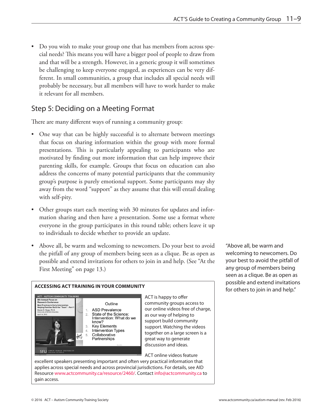<span id="page-10-0"></span>• Do you wish to make your group one that has members from across special needs? This means you will have a bigger pool of people to draw from and that will be a strength. However, in a generic group it will sometimes be challenging to keep everyone engaged, as experiences can be very different. In small communities, a group that includes all special needs will probably be necessary, but all members will have to work harder to make it relevant for all members.

# Step 5: Deciding on a Meeting Format

There are many different ways of running a community group:

- One way that can be highly successful is to alternate between meetings that focus on sharing information within the group with more formal presentations. This is particularly appealing to participants who are motivated by finding out more information that can help improve their parenting skills, for example. Groups that focus on education can also address the concerns of many potential participants that the community group's purpose is purely emotional support. Some participants may shy away from the word "support" as they assume that this will entail dealing with self-pity.
- Other groups start each meeting with 30 minutes for updates and information sharing and then have a presentation. Some use a format where everyone in the group participates in this round table; others leave it up to individuals to decide whether to provide an update.
- Above all, be warm and welcoming to newcomers. Do your best to avoid the pitfall of any group of members being seen as a clique. Be as open as possible and extend invitations for others to join in and help. (See "At the First Meeting" on page 13.)



**ACCESSING ACT TRAINING IN YOUR COMMUNITY**

ACT is happy to offer community groups access to our online videos free of charge, as our way of helping to support build community support. Watching the videos together on a large screen is a great way to generate discussion and ideas.

ACT online videos feature

excellent speakers presenting important and often very practical information that applies across special needs and across provincial jurisdictions. For details, see AID Resource [www.actcommunity.ca/resource/2460/.](http://www.actcommunity.ca/resource/2460/) Contact [info@actcommunity.ca](mailto:info%40actcommunity.ca?subject=) to gain access.

"Above all, be warm and welcoming to newcomers. Do your best to avoid the pitfall of any group of members being seen as a clique. Be as open as possible and extend invitations for others to join in and help."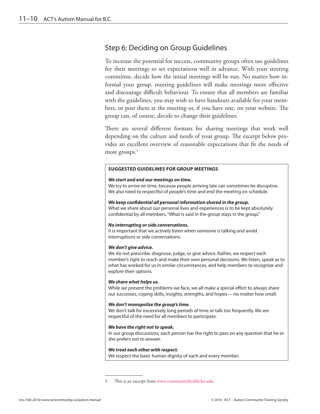## <span id="page-11-0"></span>Step 6: Deciding on Group Guidelines

To increase the potential for success, community groups often use guidelines for their meetings to set expectations well in advance. With your steering committee, decide how the initial meetings will be run. No matter how informal your group, meeting guidelines will make meetings more effective and discourage difficult behaviour. To ensure that all members are familiar with the guidelines, you may wish to have handouts available for your members, or post them at the meeting or, if you have one, on your website. The group can, of course, decide to change their guidelines.

There are several different formats for sharing meetings that work well depending on the culture and needs of your group. The excerpt below provides an excellent overview of reasonable expectations that fit the needs of most groups.<sup>5</sup>

#### **SUGGESTED GUIDELINES FOR GROUP MEETINGS**

#### *We start and end our meetings on time.*

We try to arrive on time, because people arriving late can sometimes be disruptive. We also need to respectful of people's time and end the meeting on schedule.

#### *We keep confidential all personal information shared in the group.*

What we share about our personal lives and experiences is to be kept absolutely confidential by all members. "What is said in the group stays in the group."

#### *No interrupting or side conversations.*

It is important that we actively listen when someone is talking and avoid interruptions or side conversations.

#### *We don't give advice.*

We do not prescribe, diagnose, judge, or give advice. Rather, we respect each member's right to reach and make their own personal decisions. We listen, speak as to what has worked for us in similar circumstances, and help members to recognize and explore their options.

#### *We share what helps us.*

While we present the problems we face, we all make a special effort to always share our successes, coping skills, insights, strengths, and hopes—no matter how small.

#### *We don't monopolize the group's time.*

We don't talk for excessively long periods of time or talk too frequently. We are respectful of the need for all members to participate.

#### *We have the right not to speak.*

In our group discussions, each person has the right to pass on any question that he or she prefers not to answer.

#### *We treat each other with respect.*

We respect the basic human dignity of each and every member.

<sup>5</sup> This is an excerpt from [www.communityhealth.ku.edu.](www.communityhealth.ku.edu)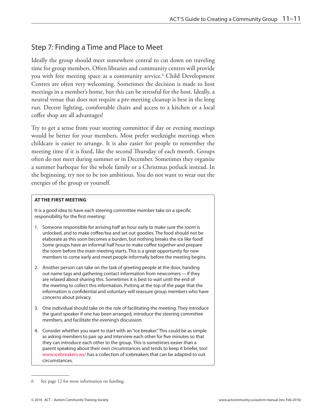### <span id="page-12-0"></span>Step 7: Finding a Time and Place to Meet

Ideally the group should meet somewhere central to cut down on traveling time for group members. Often libraries and community centres will provide you with free meeting space as a community service.<sup>6</sup> Child Development Centres are often very welcoming. Sometimes the decision is made to host meetings in a member's home, but this can be stressful for the host. Ideally, a neutral venue that does not require a pre-meeting cleanup is best in the long run. Decent lighting, comfortable chairs and access to a kitchen or a local coffee shop are all advantages!

Try to get a sense from your steering committee if day or evening meetings would be better for your members. Most prefer weeknight meetings when childcare is easier to arrange. It is also easier for people to remember the meeting time if it is fixed, like the second Thursday of each month. Groups often do not meet during summer or in December. Sometimes they organize a summer barbeque for the whole family or a Christmas potluck instead. In the beginning, try not to be too ambitious. You do not want to wear out the energies of the group or yourself.

#### **AT THE FIRST MEETING**

It is a good idea to have each steering committee member take on a specific responsibility for the first meeting:

- 1. Someone responsible for arriving half an hour early to make sure the room is unlocked, and to make coffee/tea and set out goodies. The food should not be elaborate as this soon becomes a burden, but nothing breaks the ice like food! Some groups have an informal half hour to make coffee together and prepare the room before the main meeting starts. This is a great opportunity for new members to come early and meet people informally before the meeting begins.
- 2. Another person can take on the task of greeting people at the door, handing out name tags and gathering contact information from newcomers—if they are relaxed about sharing this. Sometimes it is best to wait until the end of the meeting to collect this information. Putting at the top of the page that the information is confidential and voluntary will reassure group members who have concerns about privacy.
- 3. One individual should take on the role of facilitating the meeting. They introduce the guest speaker if one has been arranged, introduce the steering committee members, and facilitate the evening's discussion.
- 4. Consider whether you want to start with an "ice breaker." This could be as simple as asking members to pair up and interview each other for five minutes so that they can introduce each other to the group. This is sometimes easier than a parent speaking about their own circumstances and tends to keep it briefer, too! [www.icebreakers.ws/](http://www.icebreakers.ws/) has a collection of icebreakers that can be adapted to suit circumstances.

<sup>6</sup> See [page 1](#page-13-0)2 for more information on funding.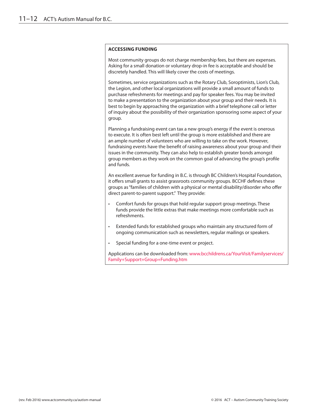#### <span id="page-13-0"></span>**ACCESSING FUNDING**

Most community groups do not charge membership fees, but there are expenses. Asking for a small donation or voluntary drop-in fee is acceptable and should be discretely handled. This will likely cover the costs of meetings.

Sometimes, service organizations such as the Rotary Club, Soroptimists, Lion's Club, the Legion, and other local organizations will provide a small amount of funds to purchase refreshments for meetings and pay for speaker fees. You may be invited to make a presentation to the organization about your group and their needs. It is best to begin by approaching the organization with a brief telephone call or letter of inquiry about the possibility of their organization sponsoring some aspect of your group.

Planning a fundraising event can tax a new group's energy if the event is onerous to execute. It is often best left until the group is more established and there are an ample number of volunteers who are willing to take on the work. However, fundraising events have the benefit of raising awareness about your group and their issues in the community. They can also help to establish greater bonds amongst group members as they work on the common goal of advancing the group's profile and funds.

An excellent avenue for funding in B.C. is through BC Children's Hospital Foundation, it offers small grants to assist grassroots community groups. BCCHF defines these groups as "families of children with a physical or mental disability/disorder who offer direct parent-to-parent support." They provide:

- Comfort funds for groups that hold regular support group meetings. These funds provide the little extras that make meetings more comfortable such as refreshments.
- Extended funds for established groups who maintain any structured form of ongoing communication such as newsletters, regular mailings or speakers.
- Special funding for a one-time event or project.

Applications can be downloaded from: [www.bcchildrens.ca/YourVisit/Familyservices/](www.bcchildrens.ca/YourVisit/Familyservices/Family+Support+Group+Funding.htm) [Family+Support+Group+Funding.htm](www.bcchildrens.ca/YourVisit/Familyservices/Family+Support+Group+Funding.htm)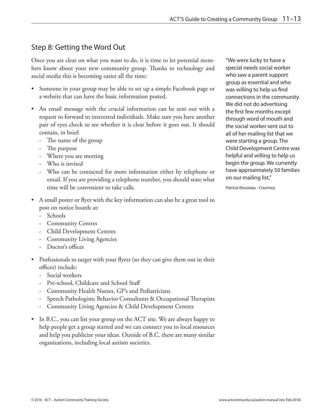## <span id="page-14-0"></span>Step 8: Getting the Word Out

Once you are clear on what you want to do, it is time to let potential members know about your new community group. Thanks to technology and social media this is becoming easier all the time:

- Someone in your group may be able to set up a simple Facebook page or a website that can have the basic information posted.
- An email message with the crucial information can be sent out with a request to forward to interested individuals. Make sure you have another pair of eyes check to see whether it is clear before it goes out. It should contain, in brief:
	- The name of the group
	- The purpose
	- Where you are meeting
	- Who is invited
	- Who can be contacted for more information either by telephone or email. If you are providing a telephone number, you should state what time will be convenient to take calls.
- A small poster or flyer with the key information can also be a great tool to post on notice boards at:
	- Schools
	- Community Centres
	- Child Development Centres
	- Community Living Agencies
	- Doctor's offices
- Professionals to target with your flyers (so they can give them out in their offices) include:
	- Social workers
	- Pre-school, Childcare and School Staff
	- Community Health Nurses, GP's and Pediatricians
	- Speech Pathologists; Behavior Consultants & Occupational Therapists
	- Community Living Agencies & Child Development Centres
- In B.C., you can list your group on the ACT site. We are always happy to help people get a group started and we can connect you to local resources and help you publicize your ideas. Outside of B.C. there are many similar organizations, including local autism societies.

"We were lucky to have a special needs social worker who saw a parent support group as essential and who was willing to help us find connections in the community. We did not do advertising the first few months except through word of mouth and the social worker sent out to all of her mailing list that we were starting a group. The Child Development Centre was helpful and willing to help us begin the group. We currently have approximately 50 families on our mailing list."

Patricia Rousseau - Courtney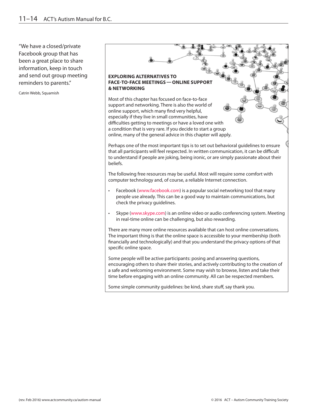"We have a closed/private Facebook group that has been a great place to share information, keep in touch and send out group meeting reminders to parents."

Catrin Webb, Squamish

#### **EXPLORING ALTERNATIVES TO FACE-TO-FACE MEETINGS—ONLINE SUPPORT & NETWORKING**

Most of this chapter has focused on face-to-face support and networking. There is also the world of online support, which many find very helpful, especially if they live in small communities, have difficulties getting to meetings or have a loved one with a condition that is very rare. If you decide to start a group online, many of the general advice in this chapter will apply.

Perhaps one of the most important tips is to set out behavioral guidelines to ensure that all participants will feel respected. In written communication, it can be difficult to understand if people are joking, being ironic, or are simply passionate about their beliefs.

The following free resources may be useful. Most will require some comfort with computer technology and, of course, a reliable Internet connection.

- Facebook ([www.facebook.com\)](www.facebook.com) is a popular social networking tool that many people use already. This can be a good way to maintain communications, but check the privacy guidelines.
- Skype ([www.skype.com\)](www.skype.com) is an online video or audio conferencing system. Meeting in real-time online can be challenging, but also rewarding.

There are many more online resources available that can host online conversations. The important thing is that the online space is accessible to your membership (both financially and technologically) and that you understand the privacy options of that specific online space.

Some people will be active participants: posing and answering questions, encouraging others to share their stories, and actively contributing to the creation of a safe and welcoming environment. Some may wish to browse, listen and take their time before engaging with an online community. All can be respected members.

Some simple community guidelines: be kind, share stuff, say thank you.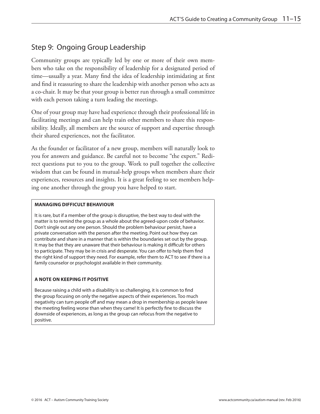### <span id="page-16-0"></span>Step 9: Ongoing Group Leadership

Community groups are typically led by one or more of their own members who take on the responsibility of leadership for a designated period of time—usually a year. Many find the idea of leadership intimidating at first and find it reassuring to share the leadership with another person who acts as a co-chair. It may be that your group is better run through a small committee with each person taking a turn leading the meetings.

One of your group may have had experience through their professional life in facilitating meetings and can help train other members to share this responsibility. Ideally, all members are the source of support and expertise through their shared experiences, not the facilitator.

As the founder or facilitator of a new group, members will naturally look to you for answers and guidance. Be careful not to become "the expert." Redirect questions put to you to the group. Work to pull together the collective wisdom that can be found in mutual-help groups when members share their experiences, resources and insights. It is a great feeling to see members helping one another through the group you have helped to start.

#### **MANAGING DIFFICULT BEHAVIOUR**

It is rare, but if a member of the group is disruptive, the best way to deal with the matter is to remind the group as a whole about the agreed-upon code of behavior. Don't single out any one person. Should the problem behaviour persist, have a private conversation with the person after the meeting. Point out how they can contribute and share in a manner that is within the boundaries set out by the group. It may be that they are unaware that their behaviour is making it difficult for others to participate. They may be in crisis and desperate. You can offer to help them find the right kind of support they need. For example, refer them to ACT to see if there is a family counselor or psychologist available in their community.

#### **A NOTE ON KEEPING IT POSITIVE**

Because raising a child with a disability is so challenging, it is common to find the group focusing on only the negative aspects of their experiences. Too much negativity can turn people off and may mean a drop in membership as people leave the meeting feeling worse than when they came! It is perfectly fine to discuss the downside of experiences, as long as the group can refocus from the negative to positive.